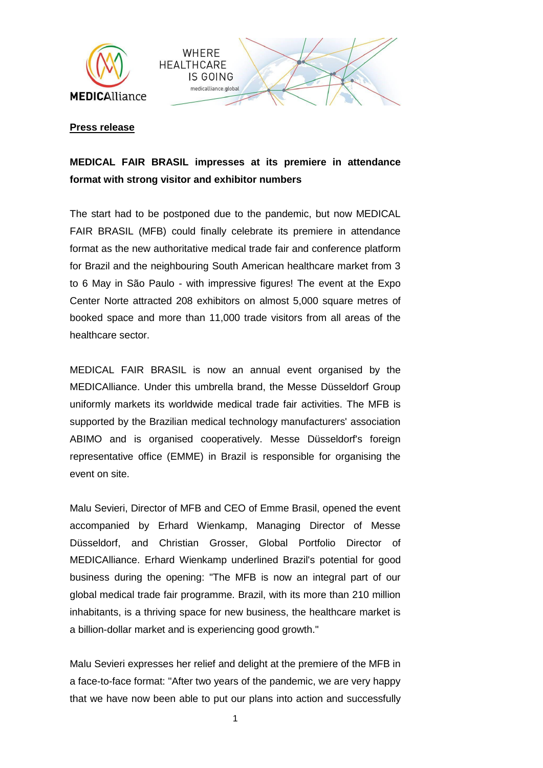



## **Press release**

## **MEDICAL FAIR BRASIL impresses at its premiere in attendance format with strong visitor and exhibitor numbers**

The start had to be postponed due to the pandemic, but now MEDICAL FAIR BRASIL (MFB) could finally celebrate its premiere in attendance format as the new authoritative medical trade fair and conference platform for Brazil and the neighbouring South American healthcare market from 3 to 6 May in São Paulo - with impressive figures! The event at the Expo Center Norte attracted 208 exhibitors on almost 5,000 square metres of booked space and more than 11,000 trade visitors from all areas of the healthcare sector.

MEDICAL FAIR BRASIL is now an annual event organised by the MEDICAlliance. Under this umbrella brand, the Messe Düsseldorf Group uniformly markets its worldwide medical trade fair activities. The MFB is supported by the Brazilian medical technology manufacturers' association ABIMO and is organised cooperatively. Messe Düsseldorf's foreign representative office (EMME) in Brazil is responsible for organising the event on site.

Malu Sevieri, Director of MFB and CEO of Emme Brasil, opened the event accompanied by Erhard Wienkamp, Managing Director of Messe Düsseldorf, and Christian Grosser, Global Portfolio Director of MEDICAlliance. Erhard Wienkamp underlined Brazil's potential for good business during the opening: "The MFB is now an integral part of our global medical trade fair programme. Brazil, with its more than 210 million inhabitants, is a thriving space for new business, the healthcare market is a billion-dollar market and is experiencing good growth."

Malu Sevieri expresses her relief and delight at the premiere of the MFB in a face-to-face format: "After two years of the pandemic, we are very happy that we have now been able to put our plans into action and successfully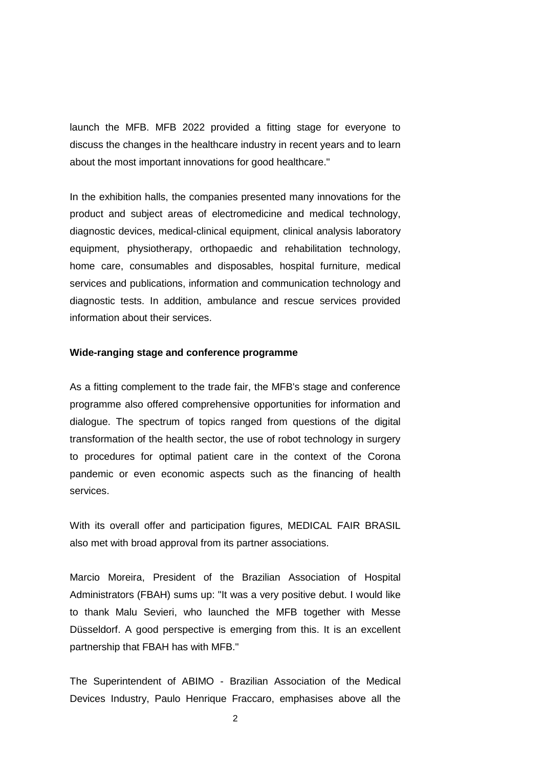launch the MFB. MFB 2022 provided a fitting stage for everyone to discuss the changes in the healthcare industry in recent years and to learn about the most important innovations for good healthcare."

In the exhibition halls, the companies presented many innovations for the product and subject areas of electromedicine and medical technology, diagnostic devices, medical-clinical equipment, clinical analysis laboratory equipment, physiotherapy, orthopaedic and rehabilitation technology, home care, consumables and disposables, hospital furniture, medical services and publications, information and communication technology and diagnostic tests. In addition, ambulance and rescue services provided information about their services.

## **Wide-ranging stage and conference programme**

As a fitting complement to the trade fair, the MFB's stage and conference programme also offered comprehensive opportunities for information and dialogue. The spectrum of topics ranged from questions of the digital transformation of the health sector, the use of robot technology in surgery to procedures for optimal patient care in the context of the Corona pandemic or even economic aspects such as the financing of health services.

With its overall offer and participation figures, MEDICAL FAIR BRASIL also met with broad approval from its partner associations.

Marcio Moreira, President of the Brazilian Association of Hospital Administrators (FBAH) sums up: "It was a very positive debut. I would like to thank Malu Sevieri, who launched the MFB together with Messe Düsseldorf. A good perspective is emerging from this. It is an excellent partnership that FBAH has with MFB."

The Superintendent of ABIMO - Brazilian Association of the Medical Devices Industry, Paulo Henrique Fraccaro, emphasises above all the